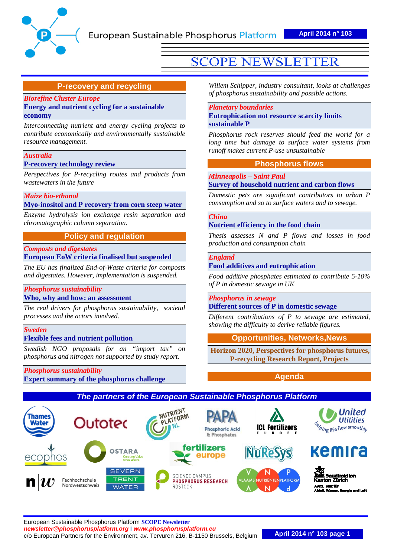

## **P-recovery and recycling**

#### *[Biorefine Cluster Europe](#page-1-0)*  **[Energy and nutrient cycling for a sustainable](#page-1-0)  [economy](#page-1-0)**

*Interconnecting nutrient and energy cycling projects to contribute economically and environmentally sustainable resource management.*

#### *[Australia](#page-1-0)*

**[P-recovery technology review](#page-1-0)**

*Perspectives for P-recycling routes and products from wastewaters in the future*

#### *[Maize bio-ethanol](#page-4-0)* **[Myo-inositol and P recovery from corn steep water](#page-4-0)**

*Enzyme hydrolysis ion exchange resin separation and chromatographic column separation.*

## **Policy and regulation**

#### *[Composts and digestates](#page-6-0)*

**European EoW [criteria finalised but suspended](#page-6-0)**

*The EU has finalized End-of-Waste criteria for composts and digestates. However, implementation is suspended.*

## *[Phosphorus sustainability](#page-7-0)*

#### **[Who, why and how: an assessment](#page-7-0)**

*The real drivers for phosphorus sustainability, societal processes and the actors involved.*

#### *[Sweden](#page-9-0)*

## **[Flexible fees and nutrient pollution](#page-9-0)**

*Swedish NGO proposals for an "import tax" phosphorus and nitrogen not supported by study report.*

*[Phosphorus sustainability](#page-11-0)* **[Expert summary of the phosphorus challenge](#page-11-0)**

# **SCOPE NEWSLETTER**

*Willem Schipper, industry consultant, looks at challenges of phosphorus sustainability and possible actions.*

#### *[Planetary boundaries](#page-12-0)*

#### **[Eutrophication not resource scarcity limits](#page-12-0)  [sustainable P](#page-12-0)**

*Phosphorus rock reserves should feed the world for a long time but damage to surface water systems from runoff makes current P-use unsustainable*

### **Phosphorus flows**

#### *[Minneapolis –](#page-13-0) Saint Paul*

## **[Survey of household nutrient and carbon flows](#page-13-0)**

*Domestic pets are significant contributors to urban P consumption and so to surface waters and to sewage.*

#### *[China](#page-14-0)*

#### **[Nutrient efficiency in the food chain](#page-14-0)**

*Thesis assesses N and P flows and losses in food production and consumption chain*

#### *[England](#page-13-0)*

#### **[Food additives and eutrophication](#page-13-0)**

*Food additive phosphates estimated to contribute 5-10% of P in domestic sewage in UK*

### *[Phosphorus in sewage](#page-17-0)* **[Different sources of P in domestic sewage](#page-17-0)**

*Different contributions of P to sewage are estimated, showing the difficulty to derive reliable figures.* 

## **[Opportunities, Networks,News](#page-18-0)**

**Horizon 2020, Perspectives for phosphorus futures, P-recycling Research Report, Projects**

**[Agenda](#page-20-0)** 

## *The partners of the European Sustainable Phosphorus Platform*



United

**Utilities** 

**Exercise** Services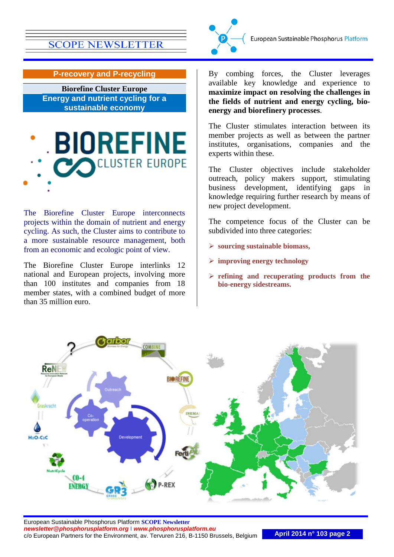

**P-recovery and P-recycling**

<span id="page-1-0"></span>**Biorefine Cluster Europe Energy and nutrient cycling for a sustainable economy**



The Biorefine Cluster Europe interconnects projects within the domain of nutrient and energy cycling. As such, the Cluster aims to contribute to a more sustainable resource management, both from an economic and ecologic point of view.

The Biorefine Cluster Europe interlinks 12 national and European projects, involving more than 100 institutes and companies from 18 member states, with a combined budget of more than 35 million euro.

By combing forces, the Cluster leverages available key knowledge and experience to **maximize impact on resolving the challenges in the fields of nutrient and energy cycling, bioenergy and biorefinery processes**.

The Cluster stimulates interaction between its member projects as well as between the partner institutes, organisations, companies and the experts within these.

The Cluster objectives include stakeholder outreach, policy makers support, stimulating business development, identifying gaps in knowledge requiring further research by means of new project development.

The competence focus of the Cluster can be subdivided into three categories:

- **sourcing sustainable biomass,**
- **improving energy technology**
- **refining and recuperating products from the bio-energy sidestreams.**

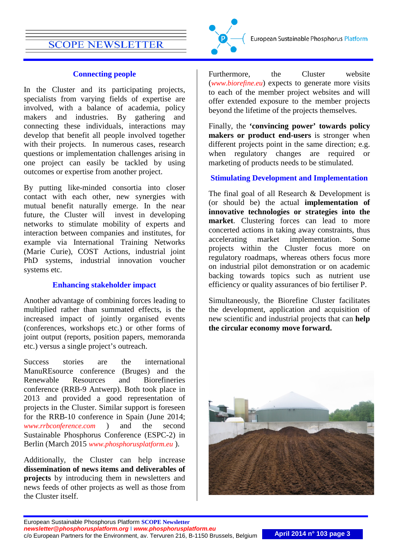## **Connecting people**

In the Cluster and its participating projects, specialists from varying fields of expertise are involved, with a balance of academia, policy makers and industries. By gathering and connecting these individuals, interactions may develop that benefit all people involved together with their projects. In numerous cases, research questions or implementation challenges arising in one project can easily be tackled by using outcomes or expertise from another project.

By putting like-minded consortia into closer contact with each other, new synergies with mutual benefit naturally emerge. In the near future, the Cluster will invest in developing networks to stimulate mobility of experts and interaction between companies and institutes, for example via International Training Networks (Marie Curie), COST Actions, industrial joint PhD systems, industrial innovation voucher systems etc.

## **Enhancing stakeholder impact**

Another advantage of combining forces leading to multiplied rather than summated effects, is the increased impact of jointly organised events (conferences, workshops etc.) or other forms of joint output (reports, position papers, memoranda etc.) versus a single project's outreach.

Success stories are the international ManuREsource conference (Bruges) and the Renewable Resources and Biorefineries conference (RRB-9 Antwerp). Both took place in 2013 and provided a good representation of projects in the Cluster. Similar support is foreseen for the RRB-10 conference in Spain (June 2014; *[www.rrbconference.com](http://www.rrbconference.com/)* ) and the second Sustainable Phosphorus Conference (ESPC-2) in Berlin (March 2015 *[www.phosphorusplatform.eu](http://www.phosphorusplatform.eu/)* ).

Additionally, the Cluster can help increase **dissemination of news items and deliverables of projects** by introducing them in newsletters and news feeds of other projects as well as those from the Cluster itself.



European Sustainable Phosphorus Platform

Furthermore, the Cluster website (*[www.biorefine.eu](http://www.biorefine.eu/)*) expects to generate more visits to each of the member project websites and will offer extended exposure to the member projects beyond the lifetime of the projects themselves.

Finally, the **'convincing power' towards policy makers or product end-users** is stronger when different projects point in the same direction; e.g. when regulatory changes are required or marketing of products needs to be stimulated.

## **Stimulating Development and Implementation**

The final goal of all Research & Development is (or should be) the actual **implementation of innovative technologies or strategies into the market**. Clustering forces can lead to more concerted actions in taking away constraints, thus accelerating market implementation. Some projects within the Cluster focus more on regulatory roadmaps, whereas others focus more on industrial pilot demonstration or on academic backing towards topics such as nutrient use efficiency or quality assurances of bio fertiliser P.

Simultaneously, the Biorefine Cluster facilitates the development, application and acquisition of new scientific and industrial projects that can **help the circular economy move forward.**

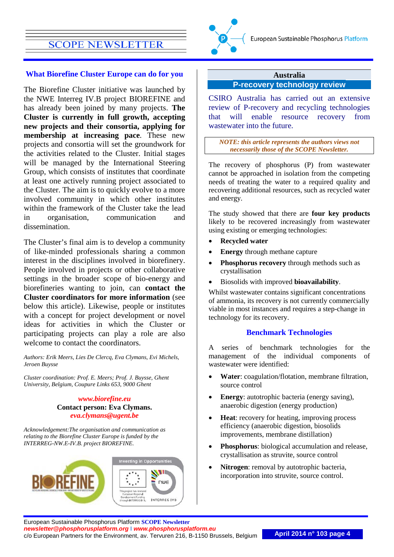#### **What Biorefine Cluster Europe can do for you**

The Biorefine Cluster initiative was launched by the NWE Interreg IV.B project BIOREFINE and has already been joined by many projects. **The Cluster is currently in full growth, accepting new projects and their consortia, applying for membership at increasing pace**. These new projects and consortia will set the groundwork for the activities related to the Cluster. Initial stages will be managed by the International Steering Group, which consists of institutes that coordinate at least one actively running project associated to the Cluster. The aim is to quickly evolve to a more involved community in which other institutes within the framework of the Cluster take the lead in organisation, communication and dissemination.

The Cluster's final aim is to develop a community of like-minded professionals sharing a common interest in the disciplines involved in biorefinery. People involved in projects or other collaborative settings in the broader scope of bio-energy and biorefineries wanting to join, can **contact the Cluster coordinators for more information** (see below this article). Likewise, people or institutes with a concept for project development or novel ideas for activities in which the Cluster or participating projects can play a role are also welcome to contact the coordinators.

*Authors: Erik Meers, Lies De Clercq, Eva Clymans, Evi Michels, Jeroen Buysse*

*Cluster coordination: Prof. E. Meers; Prof. J. Buysse, Ghent University, Belgium, Coupure Links 653, 9000 Ghent*

> *[www.biorefine.eu](http://www.biorefine.eu/)* **Contact person: Eva Clymans.**  *[eva.clymans@ugent.be](mailto:eva.clymans@ugent.be)*

*Acknowledgement:The organisation and communication as relating to the Biorefine Cluster Europe is funded by the INTERREG-NW.E-IV.B. project BIOREFINE.*





#### **Australia P-recovery technology review**

CSIRO Australia has carried out an extensive review of P-recovery and recycling technologies that will enable resource recovery from wastewater into the future.

*NOTE: this article represents the authors views not necessarily those of the SCOPE Newsletter.*

The recovery of phosphorus (P) from wastewater cannot be approached in isolation from the competing needs of treating the water to a required quality and recovering additional resources, such as recycled water and energy.

The study showed that there are **four key products** likely to be recovered increasingly from wastewater using existing or emerging technologies:

- **Recycled water**
- **Energy** through methane capture
- **Phosphorus recovery** through methods such as crystallisation
- Biosolids with improved **bioavailability**.

Whilst wastewater contains significant concentrations of ammonia, its recovery is not currently commercially viable in most instances and requires a step-change in technology for its recovery.

### **Benchmark Technologies**

A series of benchmark technologies for the management of the individual components of wastewater were identified:

- **Water**: coagulation/flotation, membrane filtration, source control
- **Energy**: autotrophic bacteria (energy saving), anaerobic digestion (energy production)
- **Heat**: recovery for heating, improving process efficiency (anaerobic digestion, biosolids improvements, membrane distillation)
- **Phosphorus**: biological accumulation and release, crystallisation as struvite, source control
- **Nitrogen**: removal by autotrophic bacteria, incorporation into struvite, source control.

European Sustainable Phosphorus Platform **SCOPE Newsletter** *[newsletter@phosphorusplatform.org](mailto:newsletter@phosphorusplatform.org)* **I** *[www.phosphorusplatform.eu](http://www.phosphorusplatform.eu/)* c/o European Partners for the Environment, av. Tervuren 216, B-1150 Brussels, Belgium **April 2014 n° 103 page 4**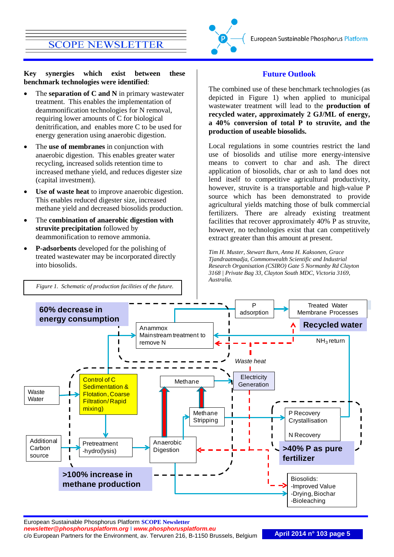**Key synergies which exist between these benchmark technologies were identified**:

- The **separation of C and N** in primary wastewater treatment. This enables the implementation of deammonification technologies for N removal, requiring lower amounts of C for biological denitrification, and enables more C to be used for energy generation using anaerobic digestion.
- The **use of membranes** in conjunction with anaerobic digestion. This enables greater water recycling, increased solids retention time to increased methane yield, and reduces digester size (capital investment).
- Use of waste heat to improve anaerobic digestion. This enables reduced digester size, increased methane yield and decreased biosolids production.
- The **combination of anaerobic digestion with struvite precipitation** followed by deammonification to remove ammonia.
- **P-adsorbents** developed for the polishing of treated wastewater may be incorporated directly into biosolids.



### **Future Outlook**

The combined use of these benchmark technologies (as depicted in Figure 1) when applied to municipal wastewater treatment will lead to the **production of recycled water, approximately 2 GJ/ML of energy, a 40% conversion of total P to struvite, and the production of useable biosolids.**

Local regulations in some countries restrict the land use of biosolids and utilise more energy-intensive means to convert to char and ash. The direct application of biosolids, char or ash to land does not lend itself to competitive agricultural productivity, however, struvite is a transportable and high-value P source which has been demonstrated to provide agricultural yields matching those of bulk commercial fertilizers. There are already existing treatment facilities that recover approximately 40% P as struvite, however, no technologies exist that can competitively extract greater than this amount at present.

<span id="page-4-0"></span>*Tim H. Muster, Stewart Burn, Anna H. Kaksonen, Grace Tjandraatmadja, Commonwealth Scientific and Industrial Research Organisation (CSIRO) Gate 5 Normanby Rd Clayton 3168 | Private Bag 33, Clayton South MDC, Victoria 3169, Australia.*



European Sustainable Phosphorus Platform **SCOPE Newsletter** *[newsletter@phosphorusplatform.org](mailto:newsletter@phosphorusplatform.org)* **I** *[www.phosphorusplatform.eu](http://www.phosphorusplatform.eu/)* c/o European Partners for the Environment, av. Tervuren 216, B-1150 Brussels, Belgium **April 2014 n° 103 page 5**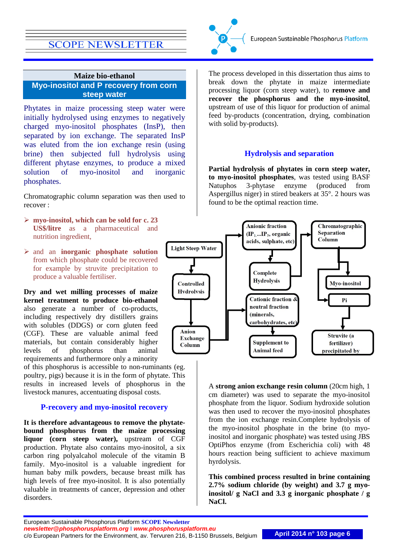

## **Maize bio-ethanol Myo-inositol and P recovery from corn steep water**

Phytates in maize processing steep water were initially hydrolysed using enzymes to negatively charged myo-inositol phosphates (InsP), then separated by ion exchange. The separated InsP was eluted from the ion exchange resin (using brine) then subjected full hydrolysis using different phytase enzymes, to produce a mixed solution of myo-inositol and inorganic phosphates.

Chromatographic column separation was then used to recover :

- **myo-inositol, which can be sold for c. 23 US\$/litre** as a pharmaceutical and nutrition ingredient,
- and an **inorganic phosphate solution** from which phosphate could be recovered for example by struvite precipitation to produce a valuable fertiliser.

**Dry and wet milling processes of maize kernel treatment to produce bio-ethanol** also generate a number of co-products, including respectively dry distillers grains with solubles (DDGS) or corn gluten feed (CGF). These are valuable animal feed materials, but contain considerably higher levels of phosphorus than animal requirements and furthermore only a minority

of this phosphorus is accessible to non-ruminants (eg. poultry, pigs) because it is in the form of phytate. This results in increased levels of phosphorus in the livestock manures, accentuating disposal costs.

## **P-recovery and myo-inositol recovery**

**It is therefore advantageous to remove the phytatebound phosphorus from the maize processing liquor (corn steep water),** upstream of CGF production. Phytate also contains myo-inositol, a six carbon ring polyalcahol molecule of the vitamin B family. Myo-inositol is a valuable ingredient for human baby milk powders, because breast milk has high levels of free myo-inositol. It is also potentially valuable in treatments of cancer, depression and other disorders.

The process developed in this dissertation thus aims to break down the phytate in maize intermediate processing liquor (corn steep water), to **remove and recover the phosphorus and the myo-inositol**, upstream of use of this liquor for production of animal feed by-products (concentration, drying, combination with solid by-products).

## **Hydrolysis and separation**

**Partial hydrolysis of phytates in corn steep water, to myo-inositol phosphates**, was tested using BASF Natuphos 3-phytase enzyme (produced from Aspergillus niger) in stired beakers at 35°. 2 hours was found to be the optimal reaction time.



A **strong anion exchange resin column** (20cm high, 1 cm diameter) was used to separate the myo-inositol phosphate from the liquor. Sodium hydroxide solution was then used to recover the myo-inositol phosphates from the ion exchange resin.Complete hydrolysis of the myo-inositol phosphate in the brine (to myoinositol and inorganic phosphate) was tested using JBS OptiPhos enzyme (from Escherichia coli) with 48 hours reaction being sufficient to achieve maximum hyrdolysis.

**This combined process resulted in brine containing 2.7% sodium chloride (by weight) and 3.7 g myoinositol/ g NaCl and 3.3 g inorganic phosphate / g NaCl.**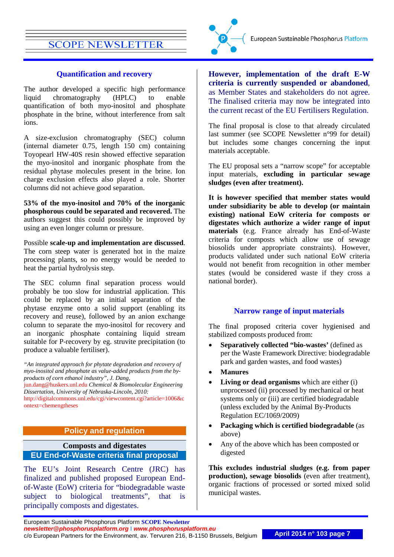#### **Quantification and recovery**

The author developed a specific high performance liquid chromatography (HPLC) to enable quantification of both myo-inositol and phosphate phosphate in the brine, without interference from salt ions.

A size-exclusion chromatography (SEC) column (internal diameter 0.75, length 150 cm) containing Toyopearl HW-40S resin showed effective separation the myo-inositol and inorganic phosphate from the residual phytase molecules present in the brine. Ion charge exclusion effects also played a role. Shorter columns did not achieve good separation.

**53% of the myo-inositol and 70% of the inorganic phosphorous could be separated and recovered.** The authors suggest this could possibly be improved by using an even longer column or pressure.

Possible **scale-up and implementation are discussed**. The corn steep water is generated hot in the maize processing plants, so no energy would be needed to heat the partial hydrolysis step.

The SEC column final separation process would probably be too slow for industrial application. This could be replaced by an initial separation of the phytase enzyme onto a solid support (enabling its recovery and reuse), followed by an anion exchange column to separate the myo-inositol for recovery and an inorganic phosphate containing liquid stream suitable for P-recovery by eg. struvite precipitation (to produce a valuable fertiliser).

*"An integrated approach for phytate degradation and recovery of myo-inositol and phosphate as value-added products from the byproducts of corn ethanol industry", J. Dang,* 

[jun.dang@huskers.unl.edu](mailto:jun.dang@huskers.unl.edu) *Chemical & Biomolecular Engineering Dissertation, University of Nebraska-Lincoln, 2010:* 

[http://digitalcommons.unl.edu/cgi/viewcontent.cgi?article=1006&c](http://digitalcommons.unl.edu/cgi/viewcontent.cgi?article=1006&context=chemengtheses) [ontext=chemengtheses](http://digitalcommons.unl.edu/cgi/viewcontent.cgi?article=1006&context=chemengtheses)

## **Policy and regulation**

## <span id="page-6-0"></span>**Composts and digestates EU End-of-Waste criteria final proposal**

The EU's Joint Research Centre (JRC) has finalized and published proposed European Endof-Waste (EoW) criteria for "biodegradable waste subject to biological treatments", that is principally composts and digestates.

**However, implementation of the draft E-W criteria is currently suspended or abandoned**, as Member States and stakeholders do not agree. The finalised criteria may now be integrated into the current recast of the EU Fertilisers Regulation.

The final proposal is close to that already circulated last summer (see SCOPE Newsletter n°99 for detail) but includes some changes concerning the input materials acceptable.

The EU proposal sets a "narrow scope" for acceptable input materials, **excluding in particular sewage sludges (even after treatment).**

**It is however specified that member states would under subsidiarity be able to develop (or maintain existing) national EoW criteria for composts or digestates which authorize a wider range of input materials** (e.g. France already has End-of-Waste criteria for composts which allow use of sewage biosolids under appropriate constraints). However, products validated under such national EoW criteria would not benefit from recognition in other member states (would be considered waste if they cross a national border).

#### **Narrow range of input materials**

The final proposed criteria cover hygienised and stabilized composts produced from:

- **Separatively collected "bio-wastes'** (defined as per the Waste Framework Directive: biodegradable park and garden wastes, and food wastes)
- **Manures**
- **Living or dead organisms** which are either (i) unprocessed (ii) processed by mechanical or heat systems only or (iii) are certified biodegradable (unless excluded by the Animal By-Products Regulation EC/1069/2009)
- **Packaging which is certified biodegradable** (as above)
- Any of the above which has been composted or digested

**This excludes industrial sludges (e.g. from paper production), sewage biosolids** (even after treatment), organic fractions of processed or sorted mixed solid municipal wastes.

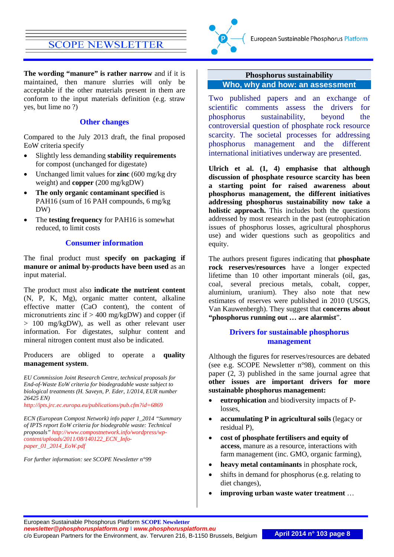

**The wording "manure" is rather narrow** and if it is maintained, then manure slurries will only be acceptable if the other materials present in them are conform to the input materials definition (e.g. straw yes, but lime no ?)

#### **Other changes**

Compared to the July 2013 draft, the final proposed EoW criteria specify

- Slightly less demanding **stability requirements** for compost (unchanged for digestate)
- Unchanged limit values for **zinc** (600 mg/kg dry weight) and **copper** (200 mg/kgDW)
- **The only organic contaminant specified** is PAH16 (sum of 16 PAH compounds, 6 mg/kg DW)
- The **testing frequency** for PAH16 is somewhat reduced, to limit costs

#### **Consumer information**

The final product must **specify on packaging if manure or animal by-products have been used** as an input material.

The product must also **indicate the nutrient content** (N, P, K, Mg), organic matter content, alkaline effective matter (CaO content), the content of micronutrients zinc if  $> 400$  mg/kgDW) and copper (if > 100 mg/kgDW), as well as other relevant user information. For digestates, sulphur content and mineral nitrogen content must also be indicated.

Producers are obliged to operate a **quality management system**.

*EU Commission Joint Research Centre, technical proposals for End-of-Waste EoW criteria for biodegradable waste subject to biological treatments (H. Saveyn, P. Eder, 1/2014, EUR number 26425 EN)* 

*<http://ipts.jrc.ec.europa.eu/publications/pub.cfm?id=6869>*

*ECN (European Compost Network) info paper 1\_2014 "Summary of IPTS report EoW criteria for biodegrable waste: Technical proposals" [http://www.compostnetwork.info/wordpress/wp](http://www.compostnetwork.info/wordpress/wp-content/uploads/2011/08/140122_ECN_Info-paper_01_2014_EoW.pdf)[content/uploads/2011/08/140122\\_ECN\\_Info](http://www.compostnetwork.info/wordpress/wp-content/uploads/2011/08/140122_ECN_Info-paper_01_2014_EoW.pdf)[paper\\_01\\_2014\\_EoW.pdf](http://www.compostnetwork.info/wordpress/wp-content/uploads/2011/08/140122_ECN_Info-paper_01_2014_EoW.pdf)*

*For further information: see SCOPE Newsletter n°99*

### <span id="page-7-0"></span>**Phosphorus sustainability Who, why and how: an assessment**

Two published papers and an exchange of scientific comments assess the drivers for phosphorus sustainability, beyond the controversial question of phosphate rock resource scarcity. The societal processes for addressing phosphorus management and the different international initiatives underway are presented.

**Ulrich et al. (1, 4) emphasise that although discussion of phosphate resource scarcity has been a starting point for raised awareness about phosphorus management, the different initiatives addressing phosphorus sustainability now take a holistic approach.** This includes both the questions addressed by most research in the past (eutrophication issues of phosphorus losses, agricultural phosphorus use) and wider questions such as geopolitics and equity.

The authors present figures indicating that **phosphate rock reserves/resources** have a longer expected lifetime than 10 other important minerals (oil, gas, coal, several precious metals, cobalt, copper, aluminium, uranium). They also note that new estimates of reserves were published in 2010 (USGS, Van Kauwenbergh). They suggest that **concerns about "phosphorus running out … are alarmist**".

## **Drivers for sustainable phosphorus management**

Although the figures for reserves/resources are debated (see e.g. SCOPE Newsletter n°98), comment on this paper (2, 3) published in the same journal agree that **other issues are important drivers for more sustainable phosphorus management:**

- **eutrophication** and biodiversity impacts of Plosses,
- **accumulating P in agricultural soils** (legacy or residual P),
- **cost of phosphate fertilisers and equity of access**, manure as a resource, interactions with farm management (inc. GMO, organic farming),
- **heavy metal contaminants** in phosphate rock,
- shifts in demand for phosphorus (e.g. relating to diet changes),
- **improving urban waste water treatment** …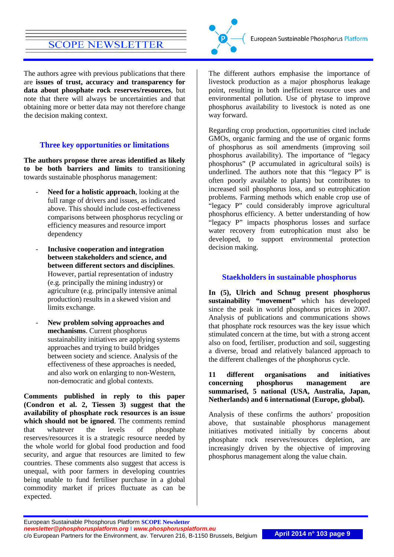The authors agree with previous publications that there are **issues of trust, accuracy and transparency for data about phosphate rock reserves/resources**, but note that there will always be uncertainties and that obtaining more or better data may not therefore change the decision making context.

## **Three key opportunities or limitations**

**The authors propose three areas identified as likely to be both barriers and limits** to transitioning towards sustainable phosphorus management:

- **Need for a holistic approach, looking at the** full range of drivers and issues, as indicated above. This should include cost-effectiveness comparisons between phosphorus recycling or efficiency measures and resource import dependency
- **Inclusive cooperation and integration between stakeholders and science, and between different sectors and disciplines**. However, partial representation of industry (e.g. principally the mining industry) or agriculture (e.g. principally intensive animal production) results in a skewed vision and limits exchange.
- **New problem solving approaches and mechanisms**. Current phosphorus sustainability initiatives are applying systems approaches and trying to build bridges between society and science. Analysis of the effectiveness of these approaches is needed, and also work on enlarging to non-Western, non-democratic and global contexts.

**Comments published in reply to this paper (Condron et al. 2, Tiessen 3) suggest that the availability of phosphate rock resources is an issue which should not be ignored**. The comments remind that whatever the levels of phosphate reserves/resources it is a strategic resource needed by the whole world for global food production and food security, and argue that resources are limited to few countries. These comments also suggest that access is unequal, with poor farmers in developing countries being unable to fund fertiliser purchase in a global commodity market if prices fluctuate as can be expected.



The different authors emphasise the importance of livestock production as a major phosphorus leakage point, resulting in both inefficient resource uses and environmental pollution. Use of phytase to improve phosphorus availability to livestock is noted as one way forward.

Regarding crop production, opportunities cited include GMOs, organic farming and the use of organic forms of phosphorus as soil amendments (improving soil phosphorus availability). The importance of "legacy phosphorus" (P accumulated in agricultural soils) is underlined. The authors note that this "legacy P" is often poorly available to plants) but contributes to increased soil phosphorus loss, and so eutrophication problems. Farming methods which enable crop use of "legacy P" could considerably improve agricultural phosphorus efficiency. A better understanding of how "legacy P" impacts phosphorus losses and surface water recovery from eutrophication must also be developed, to support environmental protection decision making.

## **Staekholders in sustainable phosphorus**

**In (5), Ulrich and Schnug present phosphorus sustainability "movement"** which has developed since the peak in world phosphorus prices in 2007. Analysis of publications and communications shows that phosphate rock resources was the key issue which stimulated concern at the time, but with a strong accent also on food, fertiliser, production and soil, suggesting a diverse, broad and relatively balanced approach to the different challenges of the phosphorus cycle.

**11 different organisations and initiatives concerning phosphorus management are summarised, 5 national (USA, Australia, Japan, Netherlands) and 6 international (Europe, global).**

Analysis of these confirms the authors' proposition above, that sustainable phosphorus management initiatives motivated initially by concerns about phosphate rock reserves/resources depletion, are increasingly driven by the objective of improving phosphorus management along the value chain.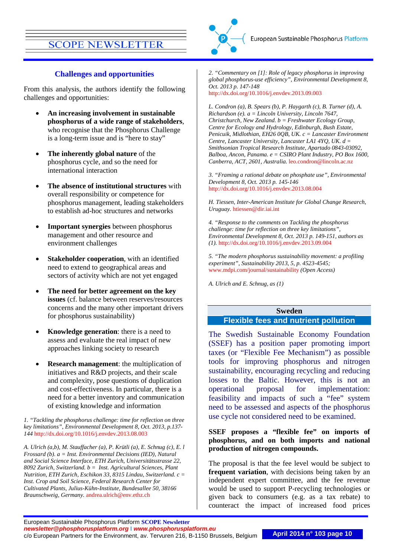### **Challenges and opportunities**

From this analysis, the authors identify the following challenges and opportunities:

- **An increasing involvement in sustainable phosphorus of a wide range of stakeholders**, who recognise that the Phosphorus Challenge is a long-term issue and is "here to stay"
- **The inherently global nature** of the phosphorus cycle, and so the need for international interaction
- **The absence of institutional structures** with overall responsibility or competence for phosphorus management, leading stakeholders to establish ad-hoc structures and networks
- **Important synergies** between phosphorus management and other resource and environment challenges
- **Stakeholder cooperation**, with an identified need to extend to geographical areas and sectors of activity which are not yet engaged
- **The need for better agreement on the key issues** (cf. balance between reserves/resources concerns and the many other important drivers for phosphorus sustainability)
- **Knowledge generation**: there is a need to assess and evaluate the real impact of new approaches linking society to research
- **Research management:** the multiplication of initiatives and R&D projects, and their scale and complexity, pose questions of duplication and cost-effectiveness. In particular, there is a need for a better inventory and communication of existing knowledge and information

*1. "Tackling the phosphorus challenge: time for reflection on three key limitations", Environmental Development 8, Oct. 2013, p.137- 144* <http://dx.doi.org/10.1016/j.envdev.2013.08.003>

*A. Ulrich (a,b), M. Stauffacher (a), P. Krütli (a), E. Schnug (c), E. l Frossard (b). a = Inst. Environmental Decisions (IED), Natural and Social Science Interface, ETH Zurich, Universitätsstrasse 22, 8092 Zurich, Switzerland. b = Inst. Agricultural Sciences, Plant Nutrition, ETH Zurich, Eschikon 33, 8315 Lindau, Switzerland. c = Inst. Crop and Soil Science, Federal Research Center for Cultivated Plants, Julius-Kühn-Institute, Bundesallee 50, 38166 Braunschweig, Germany.* [andrea.ulrich@env.ethz.ch](mailto:andrea.ulrich@env.ethz.ch)

*2. "Commentary on [1]: Role of legacy phosphorus in improving global phosphorus-use efficiency", Environmental Development 8, Oct. 2013 p. 147-148*  <http://dx.doi.org/10.1016/j.envdev.2013.09.003>

*L. Condron (a), B. Spears (b), P. Haygarth (c), B. Turner (d), A. Richardson (e). a = Lincoln University, Lincoln 7647, Christchurch, New Zealand. b = Freshwater Ecology Group, Centre for Ecology and Hydrology, Edinburgh, Bush Estate, Penicuik, Midlothian, EH26 0QB, UK. c = Lancaster Environment Centre, Lancaster University, Lancaster LA1 4YQ, UK. d = Smithsonian Tropical Research Institute, Apartado 0843-03092, Balboa, Ancon, Panama. e = CSIRO Plant Industry, PO Box 1600,* 

*3. "Framing a rational debate on phosphate use", Environmental Development 8, Oct. 2013 p. 145-146*  <http://dx.doi.org/10.1016/j.envdev.2013.08.004>

*Canberra, ACT, 2601, Australia.* [leo.condron@lincoln.ac.nz](mailto:leo.condron@lincoln.ac.nz)

*H. Tiessen, Inter-American Institute for Global Change Research, Uruguay.* [htiessen@dir.iai.int](mailto:htiessen@dir.iai.int)

*4. "Response to the comments on Tackling the phosphorus challenge: time for reflection on three key limitations", Environmental Development 8, Oct. 2013 p. 149-151, authors as (1).* <http://dx.doi.org/10.1016/j.envdev.2013.09.004>

*5. "The modern phosphorus sustainability movement: a profiling experiment", Sustainability 2013, 5, p. 4523-4545;*  [www.mdpi.com/journal/sustainability](http://www.mdpi.com/journal/sustainability) *(Open Access)*

*A. Ulrich and E. Schnug, as (1)*

## <span id="page-9-0"></span>**Sweden Flexible fees and nutrient pollution**

The Swedish Sustainable Economy Foundation (SSEF) has a position paper promoting import taxes (or "Flexible Fee Mechanism") as possible tools for improving phosphorus and nitrogen sustainability, encouraging recycling and reducing losses to the Baltic. However, this is not an operational proposal for implementation: feasibility and impacts of such a "fee" system need to be assessed and aspects of the phosphorus use cycle not considered need to be examined.

#### **SSEF proposes a "flexible fee" on imports of phosphorus, and on both imports and national production of nitrogen compounds.**

The proposal is that the fee level would be subject to **frequent variation**, with decisions being taken by an independent expert committee, and the fee revenue would be used to support P-recycling technologies or given back to consumers (e.g. as a tax rebate) to counteract the impact of increased food prices

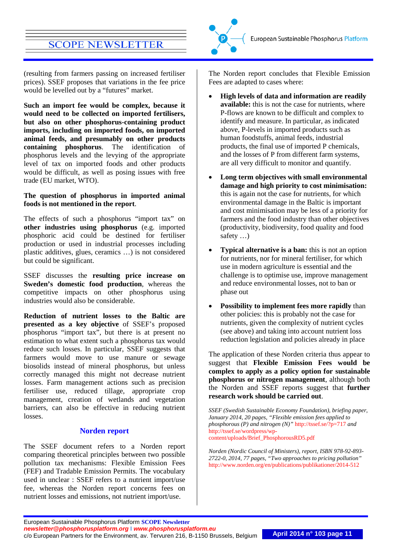(resulting from farmers passing on increased fertiliser prices). SSEF proposes that variations in the fee price would be levelled out by a "futures" market.

**Such an import fee would be complex, because it would need to be collected on imported fertilisers, but also on other phosphorus-containing product imports, including on imported foods, on imported animal feeds, and presumably on other products containing phosphorus**. The identification of phosphorus levels and the levying of the appropriate level of tax on imported foods and other products would be difficult, as well as posing issues with free trade (EU market, WTO).

#### **The question of phosphorus in imported animal foods is not mentioned in the report**.

The effects of such a phosphorus "import tax" on **other industries using phosphorus** (e.g. imported phosphoric acid could be destined for fertiliser production or used in industrial processes including plastic additives, glues, ceramics …) is not considered but could be significant.

SSEF discusses the **resulting price increase on Sweden's domestic food production**, whereas the competitive impacts on other phosphorus using industries would also be considerable.

**Reduction of nutrient losses to the Baltic are presented as a key objective** of SSEF's proposed phosphorus "import tax", but there is at present no estimation to what extent such a phosphorus tax would reduce such losses. In particular, SSEF suggests that farmers would move to use manure or sewage biosolids instead of mineral phosphorus, but unless correctly managed this might not decrease nutrient losses. Farm management actions such as precision fertiliser use, reduced tillage, appropriate crop management, creation of wetlands and vegetation barriers, can also be effective in reducing nutrient losses.

## **Norden report**

The SSEF document refers to a Norden report comparing theoretical principles between two possible pollution tax mechanisms: Flexible Emission Fees (FEF) and Tradable Emission Permits. The vocabulary used in unclear : SSEF refers to a nutrient import/use fee, whereas the Norden report concerns fees on nutrient losses and emissions, not nutrient import/use.

The Norden report concludes that Flexible Emission Fees are adapted to cases where:

- **High levels of data and information are readily available:** this is not the case for nutrients, where P-flows are known to be difficult and complex to identify and measure. In particular, as indicated above, P-levels in imported products such as human foodstuffs, animal feeds, industrial products, the final use of imported P chemicals, and the losses of P from different farm systems, are all very difficult to monitor and quantify.
- **Long term objectives with small environmental damage and high priority to cost minimisation:** this is again not the case for nutrients, for which environmental damage in the Baltic is important and cost minimisation may be less of a priority for farmers and the food industry than other objectives (productivity, biodiversity, food quality and food safety …)
- **Typical alternative is a ban:** this is not an option for nutrients, nor for mineral fertiliser, for which use in modern agriculture is essential and the challenge is to optimise use, improve management and reduce environmental losses, not to ban or phase out
- **Possibility to implement fees more rapidly** than other policies: this is probably not the case for nutrients, given the complexity of nutrient cycles (see above) and taking into account nutrient loss reduction legislation and policies already in place

The application of these Norden criteria thus appear to suggest that **Flexible Emission Fees would be complex to apply as a policy option for sustainable phosphorus or nitrogen management**, although both the Norden and SSEF reports suggest that **further research work should be carried out**.

*SSEF (Swedish Sustainable Economy Foundation), briefing paper, January 2014, 20 pages, "Flexible emission fees applied to phosphorous (P) and nitrogen (N)"* <http://tssef.se/?p=717> *and*  [http://tssef.se/wordpress/wp](http://tssef.se/wordpress/wp-content/uploads/Brief_PhosphorousRD5.pdf)[content/uploads/Brief\\_PhosphorousRD5.pdf](http://tssef.se/wordpress/wp-content/uploads/Brief_PhosphorousRD5.pdf)

*Norden (Nordic Council of Ministers), report, ISBN 978-92-893- 2722-0, 2014, 77 pages, "Two approaches to pricing pollution"*  <http://www.norden.org/en/publications/publikationer/2014-512>

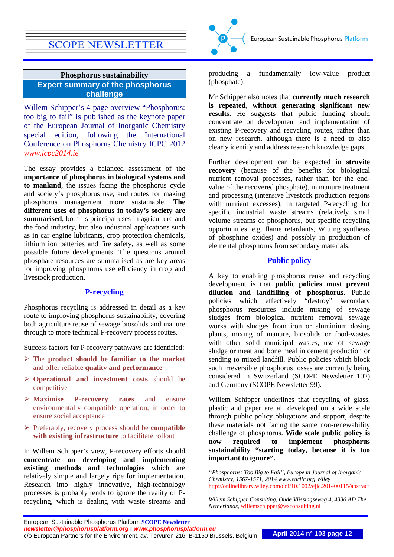## <span id="page-11-0"></span>**Phosphorus sustainability Expert summary of the phosphorus challenge**

Willem Schipper's 4-page overview "Phosphorus: too big to fail" is published as the keynote paper of the European Journal of Inorganic Chemistry special edition, following the International Conference on Phosphorus Chemistry ICPC 2012 *[www.icpc2014.ie](http://www.icpc2014.ie/)*

The essay provides a balanced assessment of the **importance of phosphorus in biological systems and to mankind**, the issues facing the phosphorus cycle and society's phosphorus use, and routes for making phosphorus management more sustainable. **The different uses of phosphorus in today's society are summarised**, both its principal uses in agriculture and the food industry, but also industrial applications such as in car engine lubricants, crop protection chemicals, lithium ion batteries and fire safety, as well as some possible future developments. The questions around phosphate resources are summarised as are key areas for improving phosphorus use efficiency in crop and livestock production.

#### **P-recycling**

Phosphorus recycling is addressed in detail as a key route to improving phosphorus sustainability, covering both agriculture reuse of sewage biosolids and manure through to more technical P-recovery process routes.

Success factors for P-recovery pathways are identified:

- The **product should be familiar to the market** and offer reliable **quality and performance**
- **Operational and investment costs** should be competitive
- **Maximise P-recovery rates** and ensure environmentally compatible operation, in order to ensure social acceptance
- Preferably, recovery process should be **compatible with existing infrastructure** to facilitate rollout

In Willem Schipper's view, P-recovery efforts should **concentrate on developing and implementing existing methods and technologies** which are relatively simple and largely ripe for implementation. Research into highly innovative, high-technology processes is probably tends to ignore the reality of Precycling, which is dealing with waste streams and



Mr Schipper also notes that **currently much research is repeated, without generating significant new results**. He suggests that public funding should concentrate on development and implementation of existing P-recovery and recycling routes, rather than on new research, although there is a need to also clearly identify and address research knowledge gaps.

Further development can be expected in **struvite recovery** (because of the benefits for biological nutrient removal processes, rather than for the endvalue of the recovered phosphate), in manure treatment and processing (intensive livestock production regions with nutrient excesses), in targeted P-recycling for specific industrial waste streams (relatively small volume streams of phosphorus, but specific recycling opportunities, e.g. flame retardants, Witting synthesis of phosphine oxides) and possibly in production of elemental phosphorus from secondary materials.

## **Public policy**

A key to enabling phosphorus reuse and recycling development is that **public policies must prevent dilution and landfilling of phosphorus**. Public policies which effectively "destroy" secondary phosphorus resources include mixing of sewage sludges from biological nutrient removal sewage works with sludges from iron or aluminium dosing plants, mixing of manure, biosolids or food-wastes with other solid municipal wastes, use of sewage sludge or meat and bone meal in cement production or sending to mixed landfill. Public policies which block such irreversible phosphorus losses are currently being considered in Switzerland (SCOPE Newsletter 102) and Germany (SCOPE Newsletter 99).

Willem Schipper underlines that recycling of glass, plastic and paper are all developed on a wide scale through public policy obligations and support, despite these materials not facing the same non-renewability challenge of phosphorus. **Wide scale public policy is now required to implement phosphorus sustainability "starting today, because it is too important to ignore".**

*"Phosphorus: Too Big to Fail", European Journal of Inorganic Chemistry, 1567-1571, 2014 www.eurjic.org Wiley*  <http://onlinelibrary.wiley.com/doi/10.1002/ejic.201400115/abstract>

*Willem Schipper Consulting, Oude Vlissingseweg 4, 4336 AD The Netherlands,* [willemschipper@wsconsulting.nl](mailto:willemschipper@wsconsulting.nl)

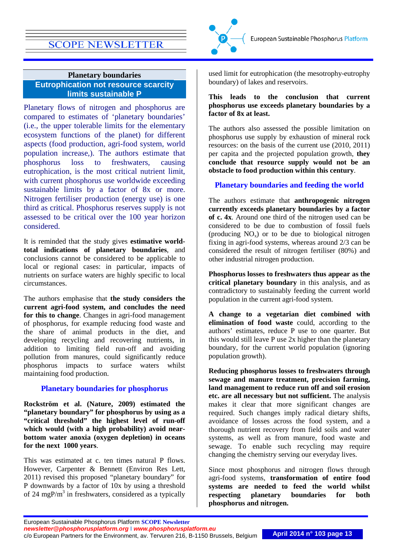

## <span id="page-12-0"></span>**Planetary boundaries Eutrophication not resource scarcity limits sustainable P**

Planetary flows of nitrogen and phosphorus are compared to estimates of 'planetary boundaries' (i.e., the upper tolerable limits for the elementary ecosystem functions of the planet) for different aspects (food production, agri-food system, world population increase,). The authors estimate that phosphorus loss to freshwaters, causing eutrophication, is the most critical nutrient limit, with current phosphorus use worldwide exceeding sustainable limits by a factor of 8x or more. Nitrogen fertiliser production (energy use) is one third as critical. Phosphorus reserves supply is not assessed to be critical over the 100 year horizon considered.

It is reminded that the study gives **estimative worldtotal indications of planetary boundaries**, and conclusions cannot be considered to be applicable to local or regional cases: in particular, impacts of nutrients on surface waters are highly specific to local circumstances.

The authors emphasise that **the study considers the current agri-food system, and concludes the need for this to change**. Changes in agri-food management of phosphorus, for example reducing food waste and the share of animal products in the diet, and developing recycling and recovering nutrients, in addition to limiting field run-off and avoiding pollution from manures, could significantly reduce phosphorus impacts to surface waters whilst maintaining food production.

## **Planetary boundaries for phosphorus**

**Rockström et al. (Nature, 2009) estimated the "planetary boundary" for phosphorus by using as a "critical threshold" the highest level of run-off which would (with a high probability) avoid nearbottom water anoxia (oxygen depletion) in oceans for the next 1000 years**.

This was estimated at c. ten times natural P flows. However, Carpenter & Bennett (Environ Res Lett, 2011) revised this proposed "planetary boundary" for P downwards by a factor of 10x by using a threshold of 24 mgP/ $m<sup>3</sup>$  in freshwaters, considered as a typically



used limit for eutrophication (the mesotrophy-eutrophy boundary) of lakes and reservoirs.

#### **This leads to the conclusion that current phosphorus use exceeds planetary boundaries by a factor of 8x at least.**

The authors also assessed the possible limitation on phosphorus use supply by exhaustion of mineral rock resources: on the basis of the current use (2010, 2011) per capita and the projected population growth, **they conclude that resource supply would not be an obstacle to food production within this century**.

## **Planetary boundaries and feeding the world**

The authors estimate that **anthropogenic nitrogen currently exceeds planetary boundaries by a factor of c. 4x**. Around one third of the nitrogen used can be considered to be due to combustion of fossil fuels (producing  $NO<sub>x</sub>$ ) or to be due to biological nitrogen fixing in agri-food systems, whereas around 2/3 can be considered the result of nitrogen fertiliser (80%) and other industrial nitrogen production.

**Phosphorus losses to freshwaters thus appear as the critical planetary boundary** in this analysis, and as contradictory to sustainably feeding the current world population in the current agri-food system.

**A change to a vegetarian diet combined with elimination of food waste** could, according to the authors' estimates, reduce P use to one quarter. But this would still leave P use 2x higher than the planetary boundary, for the current world population (ignoring population growth).

**Reducing phosphorus losses to freshwaters through sewage and manure treatment, precision farming, land management to reduce run off and soil erosion etc. are all necessary but not sufficient.** The analysis makes it clear that more significant changes are required. Such changes imply radical dietary shifts, avoidance of losses across the food system, and a thorough nutrient recovery from field soils and water systems, as well as from manure, food waste and sewage. To enable such recycling may require changing the chemistry serving our everyday lives.

Since most phosphorus and nitrogen flows through agri-food systems, **transformation of entire food systems are needed to feed the world whilst respecting planetary boundaries for both phosphorus and nitrogen.**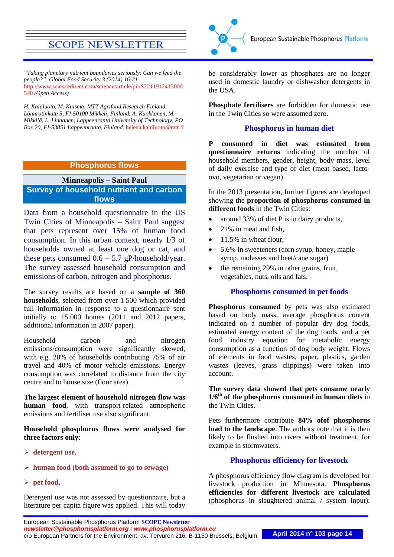*"Taking planetary nutrient boundaries seriously: Can we feed the people?", Global Food Security 3 (2014) 16-21*  [http://www.sciencedirect.com/science/article/pii/S2211912413000](http://www.sciencedirect.com/science/article/pii/S2211912413000540) [540](http://www.sciencedirect.com/science/article/pii/S2211912413000540) *(Open Access)*

*H. Kahiluoto, M. Kuisma, MTT Agrifood Research Finland, Lönnrotinkatu 5, FI-50100 Mikkeli, Finland. A. Kuokkanen, M. Mikkilä, L. Linnanen, Lappeenranta University of Technology, PO Box 20, FI-53851 Lappeenranta, Finland.* [helena.kahiluoto@mtt.fi](mailto:helena.kahiluoto@mtt.fi)

## **Phosphorus flows**

## <span id="page-13-0"></span>**Minneapolis – Saint Paul Survey of household nutrient and carbon flows**

Data from a household questionnaire in the US Twin Cities of Minneapolis – Saint Paul suggest that pets represent over 15% of human food consumption. In this urban context, nearly 1/3 of households owned at least one dog or cat, and these pets consumed  $0.6 - 5.7$  gP/household/year. The survey assessed household consumption and emissions of carbon, nitrogen and phosphorus.

The survey results are based on a **sample of 360 households**, selected from over 1 500 which provided full information in response to a questionnaire sent initially to 15 000 homes (2011 and 2012 papers, additional information in 2007 paper).

Household carbon and nitrogen emissions/consumption were significantly skewed, with e.g. 20% of households contributing 75% of air travel and 40% of motor vehicle emissions. Energy consumption was correlated to distance from the city centre and to house size (floor area).

**The largest element of household nitrogen flow was human food**, with transport-related atmospheric emissions and fertiliser use also significant.

**Household phosphorus flows were analysed for three factors only**:

**detergent use,** 

#### **human food (both assumed to go to sewage)**

 $\triangleright$  net food.

Detergent use was not assessed by questionnaire, but a literature per capita figure was applied. This will today



be considerably lower as phosphates are no longer used in domestic laundry or dishwasher detergents in the USA.

**Phosphate fertilisers** are forbidden for domestic use in the Twin Cities so were assumed zero.

#### **Phosphorus in human diet**

**P consumed in diet was estimated from questionnaire returns** indicating the number of household members, gender, height, body mass, level of daily exercise and type of diet (meat based, lactoovo, vegetarian or vegan).

In the 2013 presentation, further figures are developed showing the **proportion of phosphorus consumed in different foods** in the Twin Cities:

- around 33% of diet P is in dairy products,
- 21% in meat and fish,
- 11.5% in wheat flour,
- 5.6% in sweeteners (corn syrup, honey, maple syrup, molasses and beet/cane sugar)
- the remaining 29% in other grains, fruit, vegetables, nuts, oils and fats.

#### **Phosphorus consumed in pet foods**

**Phosphorus consumed** by pets was also estimated based on body mass, average phosphorus content indicated on a number of popular dry dog foods, estimated energy content of the dog foods, and a pet food industry equation for metabolic energy consumption as a function of dog body weight. Flows of elements in food wastes, paper, plastics, garden wastes (leaves, grass clippings) were taken into account.

**The survey data showed that pets consume nearly 1/6th of the phosphorus consumed in human diets** in the Twin Cities.

Pets furthermore contribute **84% ofof phosphorus load to the landscape**. The authors note that it is then likely to be flushed into rivers without treatment, for example in stormwaters.

#### **Phosphorus efficiency for livestock**

A phosphorus efficiency flow diagram is developed for livestock production in Minnesota. **Phosphorus efficiencies for different livestock are calculated** (phosphorus in slaughtered animal / system input):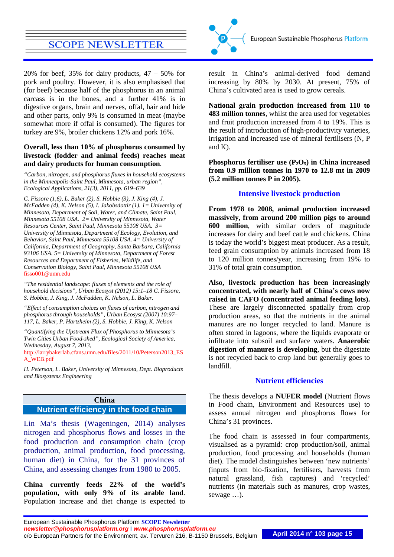20% for beef, 35% for dairy products,  $47 - 50\%$  for pork and poultry. However, it is also emphasised that (for beef) because half of the phosphorus in an animal carcass is in the bones, and a further 41% is in digestive organs, brain and nerves, offal, hair and hide and other parts, only 9% is consumed in meat (maybe somewhat more if offal is consumed). The figures for turkey are 9%, broiler chickens 12% and pork 16%.

#### **Overall, less than 10% of phosphorus consumed by livestock (fodder and animal feeds) reaches meat and dairy products for human consumption**.

*"Carbon, nitrogen, and phosphorus fluxes in household ecosystems in the Minneapolis-Saint Paul, Minnesota, urban region", Ecological Applications, 21(3), 2011, pp. 619–639*

*C. Fissore (1,6), L. Baker (2), S. Hobbie (3), J. King (4), J. McFadden (4), K. Nelson (5), I. Jakobsdottir (1). 1= University of Minnesota, Department of Soil, Water, and Climate, Saint Paul, Minnesota 55108 USA. 2= University of Minnesota, Water Resources Center, Saint Paul, Minnesota 55108 USA. 3= University of Minnesota, Department of Ecology, Evolution, and Behavior, Saint Paul, Minnesota 55108 USA. 4= University of California, Department of Geography, Santa Barbara, California 93106 USA. 5= University of Minnesota, Department of Forest Resources and Department of Fisheries, Wildlife, and Conservation Biology, Saint Paul, Minnesota 55108 USA*  [fisso001@umn.edu](mailto:fisso001@umn.edu)

*"The residential landscape: fluxes of elements and the role of household decisions", Urban Ecosyst (2012) 15:1–18 C. Fissore, S. Hobbie, J. King, J. McFadden, K. Nelson, L. Baker.*

*"Effect of consumption choices on fluxes of carbon, nitrogen and phosphorus through households", Urban Ecosyst (2007) 10:97– 117, L. Baker, P. Hartzheim (2), S. Hobbie, J. King, K. Nelson*

*"Quantifying the Upstream Flux of Phosphorus to Minnesota's Twin Cities Urban Food-shed", Ecological Society of America, Wednesday, August 7, 2013,* 

[http://larrybakerlab.cfans.umn.edu/files/2011/10/Peterson2013\\_ES](http://larrybakerlab.cfans.umn.edu/files/2011/10/Peterson2013_ESA_WEB.pdf) [A\\_WEB.pdf](http://larrybakerlab.cfans.umn.edu/files/2011/10/Peterson2013_ESA_WEB.pdf)

*H. Peterson, L. Baker, University of Minnesota, Dept. Bioproducts and Biosystems Engineering*

## <span id="page-14-0"></span>**China Nutrient efficiency in the food chain**

Lin Ma's thesis (Wageningen, 2014) analyses nitrogen and phosphorus flows and losses in the food production and consumption chain (crop production, animal production, food processing, human diet) in China, for the 31 provinces of China, and assessing changes from 1980 to 2005.

**China currently feeds 22% of the world's population, with only 9% of its arable land**. Population increase and diet change is expected to



result in China's animal-derived food demand increasing by 80% by 2030. At present, 75% of China's cultivated area is used to grow cereals.

**National grain production increased from 110 to 483 million tonnes**, whilst the area used for vegetables and fruit production increased from 4 to 19%. This is the result of introduction of high-productivity varieties, irrigation and increased use of mineral fertilisers (N, P and K).

Phosphorus fertiliser use  $(P_2O_5)$  in China increased **from 0.9 million tonnes in 1970 to 12.8 mt in 2009 (5.2 million tonnes P in 2005).**

## **Intensive livestock production**

**From 1978 to 2008, animal production increased massively, from around 200 million pigs to around 600 million**, with similar orders of magnitude increases for dairy and beef cattle and chickens. China is today the world's biggest meat producer. As a result, feed grain consumption by animals increased from 18 to 120 million tonnes/year, increasing from 19% to 31% of total grain consumption.

**Also, livestock production has been increasingly concentrated, with nearly half of China's cows now raised in CAFO (concentrated animal feeding lots).**  These are largely disconnected spatially from crop production areas, so that the nutrients in the animal manures are no longer recycled to land. Manure is often stored in lagoons, where the liquids evaporate or infiltrate into subsoil and surface waters. **Anaerobic digestion of manures is developing**, but the digestate is not recycled back to crop land but generally goes to landfill.

## **Nutrient efficiencies**

The thesis develops a **NUFER model** (Nutrient flows in Food chain, Environment and Resources use) to assess annual nitrogen and phosphorus flows for China's 31 provinces.

The food chain is assessed in four compartments, visualised as a pyramid: crop production/soil, animal production, food processing and households (human diet). The model distinguishes between 'new nutrients' (inputs from bio-fixation, fertilisers, harvests from natural grassland, fish captures) and 'recycled' nutrients (in materials such as manures, crop wastes, sewage …).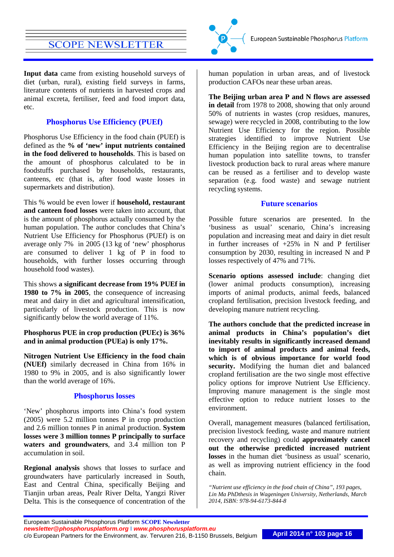**Input data** came from existing household surveys of diet (urban, rural), existing field surveys in farms, literature contents of nutrients in harvested crops and animal excreta, fertiliser, feed and food import data, etc.

## **Phosphorus Use Efficiency (PUEf)**

Phosphorus Use Efficiency in the food chain (PUEf) is defined as the **% of 'new' input nutrients contained in the food delivered to households**. This is based on the amount of phosphorus calculated to be in foodstuffs purchased by households, restaurants, canteens, etc (that is, after food waste losses in supermarkets and distribution).

This % would be even lower if **household, restaurant and canteen food losses** were taken into account, that is the amount of phosphorus actually consumed by the human population. The author concludes that China's Nutrient Use Efficiency for Phosphorus (PUEf) is on average only 7% in 2005 (13 kg of 'new' phosphorus are consumed to deliver 1 kg of P in food to households, with further losses occurring through household food wastes).

This shows **a significant decrease from 19% PUEf in 1980 to 7% in 2005**, the consequence of increasing meat and dairy in diet and agricultural intensification, particularly of livestock production. This is now significantly below the world average of 11%.

#### **Phosphorus PUE in crop production (PUEc) is 36% and in animal production (PUEa) is only 17%.**

**Nitrogen Nutrient Use Efficiency in the food chain (NUEf)** similarly decreased in China from 16% in 1980 to 9% in 2005, and is also significantly lower than the world average of 16%.

## **Phosphorus losses**

'New' phosphorus imports into China's food system (2005) were 5.2 million tonnes P in crop production and 2.6 million tonnes P in animal production. **System losses were 3 million tonnes P principally to surface waters and groundwaters**, and 3.4 million ton P accumulation in soil.

**Regional analysis** shows that losses to surface and groundwaters have particularly increased in South, East and Central China, specifically Beijing and Tianjin urban areas, Pealr River Delta, Yangzi River Delta. This is the consequence of concentration of the



human population in urban areas, and of livestock production CAFOs near these urban areas.

**The Beijing urban area P and N flows are assessed in detail** from 1978 to 2008, showing that only around 50% of nutrients in wastes (crop residues, manures, sewage) were recycled in 2008, contributing to the low Nutrient Use Efficiency for the region. Possible strategies identified to improve Nutrient Use Efficiency in the Beijing region are to decentralise human population into satellite towns, to transfer livestock production back to rural areas where manure can be reused as a fertiliser and to develop waste separation (e.g. food waste) and sewage nutrient recycling systems.

### **Future scenarios**

Possible future scenarios are presented. In the 'business as usual' scenario, China's increasing population and increasing meat and dairy in diet result in further increases of  $+25\%$  in N and P fertiliser consumption by 2030, resulting in increased N and P losses respectively of 47% and 71%.

**Scenario options assessed include**: changing diet (lower animal products consumption), increasing imports of animal products, animal feeds, balanced cropland fertilisation, precision livestock feeding, and developing manure nutrient recycling.

**The authors conclude that the predicted increase in animal products in China's population's diet inevitably results in significantly increased demand to import of animal products and animal feeds, which is of obvious importance for world food security.** Modifying the human diet and balanced cropland fertilisation are the two single most effective policy options for improve Nutrient Use Efficiency. Improving manure management is the single most effective option to reduce nutrient losses to the environment.

Overall, management measures (balanced fertilisation, precision livestock feeding, waste and manure nutrient recovery and recycling) could **approximately cancel out the otherwise predicted increased nutrient losses** in the human diet 'business as usual' scenario, as well as improving nutrient efficiency in the food chain.

*"Nutrient use efficiency in the food chain of China", 193 pages, Lin Ma PhDthesis in Wageningen University, Netherlands, March 2014, ISBN: 978-94-6173-844-8*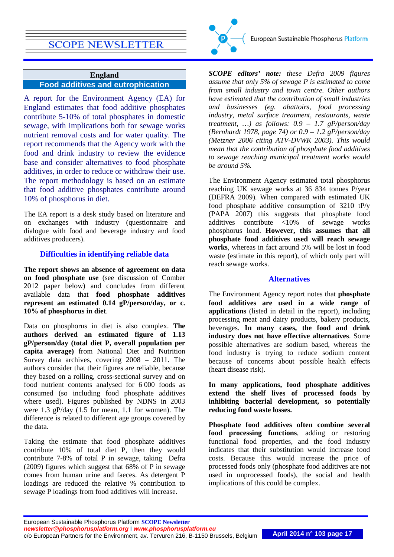## **England Food additives and eutrophication**

A report for the Environment Agency (EA) for England estimates that food additive phosphates contribute 5-10% of total phosphates in domestic sewage, with implications both for sewage works nutrient removal costs and for water quality. The report recommends that the Agency work with the food and drink industry to review the evidence base and consider alternatives to food phosphate additives, in order to reduce or withdraw their use. The report methodology is based on an estimate that food additive phosphates contribute around 10% of phosphorus in diet.

The EA report is a desk study based on literature and on exchanges with industry (questionnaire and dialogue with food and beverage industry and food additives producers).

## **Difficulties in identifying reliable data**

**The report shows an absence of agreement on data on food phosphate use** (see discussion of Comber 2012 paper below) and concludes from different available data that **food phosphate additives represent an estimated 0.14 gP/person/day, or c. 10% of phosphorus in diet**.

Data on phosphorus in diet is also complex. **The authors derived an estimated figure of 1.13 gP/person/day (total diet P, overall population per capita average)** from National Diet and Nutrition Survey data archives, covering 2008 – 2011. The authors consider that their figures are reliable, because they based on a rolling, cross-sectional survey and on food nutrient contents analysed for 6 000 foods as consumed (so including food phosphate additives where used). Figures published by NDNS in 2003 were 1.3 gP/day (1.5 for mean, 1.1 for women). The difference is related to different age groups covered by the data.

Taking the estimate that food phosphate additives contribute 10% of total diet P, then they would contribute 7-8% of total P in sewage, taking Defra (2009) figures which suggest that 68% of P in sewage comes from human urine and faeces. As detergent P loadings are reduced the relative % contribution to sewage P loadings from food additives will increase.



*SCOPE editors' note: these Defra 2009 figures assume that only 5% of sewage P is estimated to come from small industry and town centre. Other authors have estimated that the contribution of small industries and businesses (eg. abattoirs, food processing industry, metal surface treatment, restaurants, waste treatment, …) as follows: 0.9 – 1.7 gP/person/day (Bernhardt 1978, page 74) or 0.9 – 1.2 gP/person/day (Metzner 2006 citing ATV-DVWK 2003). This would mean that the contribution of phosphate food additives to sewage reaching municipal treatment works would be around 5%.*

The Environment Agency estimated total phosphorus reaching UK sewage works at 36 834 tonnes P/year (DEFRA 2009). When compared with estimated UK food phosphate additive consumption of 3210 tP/y (PAPA 2007) this suggests that phosphate food additives contribute <10% of sewage works phosphorus load. **However, this assumes that all phosphate food additives used will reach sewage works**, whereas in fact around 5% will be lost in food waste (estimate in this report), of which only part will reach sewage works.

#### **Alternatives**

The Environment Agency report notes that **phosphate food additives are used in a wide range of applications** (listed in detail in the report), including processing meat and dairy products, bakery products, beverages. **In many cases, the food and drink industry does not have effective alternatives**. Some possible alternatives are sodium based, whereas the food industry is trying to reduce sodium content because of concerns about possible health effects (heart disease risk).

**In many applications, food phosphate additives extend the shelf lives of processed foods by inhibiting bacterial development, so potentially reducing food waste losses.**

**Phosphate food additives often combine several food processing functions**, adding or restoring functional food properties, and the food industry indicates that their substitution would increase food costs. Because this would increase the price of processed foods only (phosphate food additives are not used in unprocessed foods), the social and health implications of this could be complex.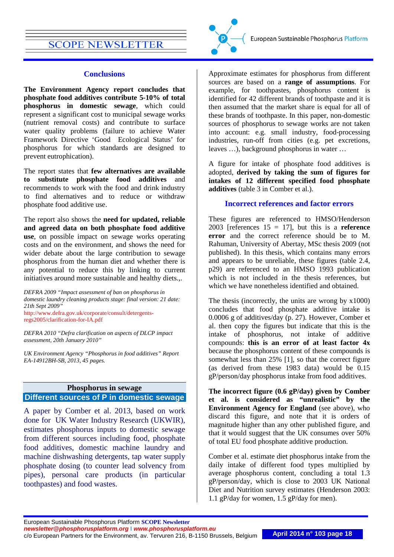#### **Conclusions**

**The Environment Agency report concludes that phosphate food additives contribute 5-10% of total phosphorus in domestic sewage**, which could represent a significant cost to municipal sewage works (nutrient removal costs) and contribute to surface water quality problems (failure to achieve Water Framework Directive 'Good Ecological Status' for phosphorus for which standards are designed to prevent eutrophication).

The report states that **few alternatives are available to substitute phosphate food additives** and recommends to work with the food and drink industry to find alternatives and to reduce or withdraw phosphate food additive use.

The report also shows the **need for updated, reliable and agreed data on both phosphate food additive use**, on possible impact on sewage works operating costs and on the environment, and shows the need for wider debate about the large contribution to sewage phosphorus from the human diet and whether there is any potential to reduce this by linking to current initiatives around more sustainable and healthy diets.,.

*DEFRA 2009 "Impact assessment of ban on phosphorus in domestic laundry cleaning products stage: final version: 21 date: 21th Sept 2009"*  [http://www.defra.gov.uk/corporate/consult/detergents](http://www.defra.gov.uk/corporate/consult/detergents-regs2005/clarification-for-IA.pdf)[regs2005/clarification-for-IA.pdf](http://www.defra.gov.uk/corporate/consult/detergents-regs2005/clarification-for-IA.pdf)

*DEFRA 2010 "Defra clarification on aspects of DLCP impact assessment, 20th January 2010"*

*UK Environment Agency "Phosphorus in food additives" Report EA-14912BH-SB, 2013, 45 pages.*

## <span id="page-17-0"></span>**Phosphorus in sewage Different sources of P in domestic sewage**

A paper by Comber et al. 2013, based on work done for UK Water Industry Research (UKWIR), estimates phosphorus inputs to domestic sewage from different sources including food, phosphate food additives, domestic machine laundry and machine dishwashing detergents, tap water supply phosphate dosing (to counter lead solvency from pipes), personal care products (in particular toothpastes) and food wastes.



Approximate estimates for phosphorus from different sources are based on a **range of assumptions**. For example, for toothpastes, phosphorus content is identified for 42 different brands of toothpaste and it is then assumed that the market share is equal for all of these brands of toothpaste. In this paper, non-domestic sources of phosphorus to sewage works are not taken into account: e.g. small industry, food-processing industries, run-off from cities (e.g. pet excretions, leaves …), background phosphorus in water …

A figure for intake of phosphate food additives is adopted, **derived by taking the sum of figures for intakes of 12 different specified food phosphate additives** (table 3 in Comber et al.).

### **Incorrect references and factor errors**

These figures are referenced to HMSO/Henderson 2003 [references 15 = 17], but this is a **reference error** and the correct reference should be to M. Rahuman, University of Abertay, MSc thesis 2009 (not published). In this thesis, which contains many errors and appears to be unreliable, these figures (table 2.4, p29) are referenced to an HMSO 1993 publication which is not included in the thesis references, but which we have nonetheless identified and obtained.

The thesis (incorrectly, the units are wrong by  $x1000$ ) concludes that food phosphate additive intake is 0.0006 g of additives/day (p. 27). However, Comber et al. then copy the figures but indicate that this is the intake of phosphorus, not intake of additive compounds: **this is an error of at least factor 4x** because the phosphorus content of these compounds is somewhat less than 25% [1], so that the correct figure (as derived from these 1983 data) would be 0.15 gP/person/day phosphorus intake from food additives.

**The incorrect figure (0.6 gP/day) given by Comber et al. is considered as "unrealistic" by the Environment Agency for England** (see above), who discard this figure, and note that it is orders of magnitude higher than any other published figure, and that it would suggest that the UK consumes over 50% of total EU food phosphate additive production.

Comber et al. estimate diet phosphorus intake from the daily intake of different food types multiplied by average phosphorus content, concluding a total 1.3 gP/person/day, which is close to 2003 UK National Diet and Nutrition survey estimates (Henderson 2003: 1.1 gP/day for women, 1.5 gP/day for men).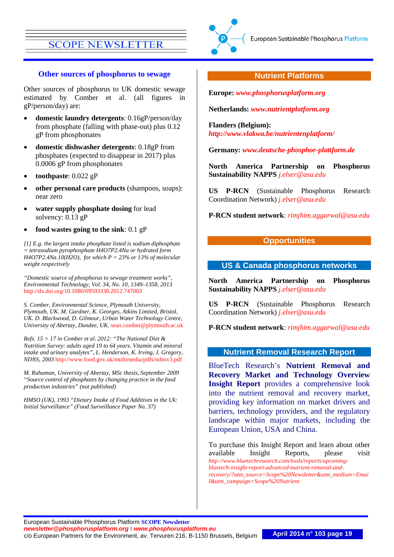

#### **Other sources of phosphorus to sewage**

Other sources of phosphorus to UK domestic sewage estimated by Comber et al. (all figures in gP/person/day) are:

- **domestic laundry detergents**: 0.16gP/person/day from phosphate (falling with phase-out) plus 0.12 gP from phosphonates
- **domestic dishwasher detergents**: 0.18gP from phosphates (expected to disappear in 2017) plus 0.0006 gP from phosphonates
- **toothpaste**: 0.022 gP
- **other personal care products** (shampoos, soaps): near zero
- water supply phosphate dosing for lead solvency: 0.13 gP
- **food wastes going to the sink**: 0.1 gP

*[1] E.g. the largest intake phosphate listed is sodium diphosphate = tetrasodium pyrophosphate H4O7P2.4Na or hydrated form H4O7P2.4Na.10(H2O), for which P = 23% or 13% of molecular weight respectively*

*"Domestic source of phosphorus to sewage treatment works", Environmental Technology, Vol. 34, No. 10, 1349–1358, 2013*  <http://dx.doi.org/10.1080/09593330.2012.747003>

*S. Comber, Environmental Science, Plymouth University, Plymouth, UK. M. Gardner, K. Georges, Atkins Limited, Bristol, UK. D. Blackwood, D. Gilmour, Urban Water Technology Centre, University of Abertay, Dundee, UK.* [sean.comber@plymouth.ac.uk](mailto:sean.comber@plymouth.ac.uk)

*Refs. 15 = 17 in Comber et al. 2012: "The National Diet & Nutrition Survey: adults aged 19 to 64 years. Vitamin and mineral intake and urinary analytes", L. Henderson, K. Irving, J. Gregory, NDNS, 2003* <http://www.food.gov.uk/multimedia/pdfs/ndnsv3.pdf>

*M. Rahuman, University of Abertay, MSc thesis, September 2009 "Source control of phosphates by changing practice in the food production industries" (not published)*

*HMSO (UK), 1993 "Dietary Intake of Food Additives in the Uk: Initial Surveillance" (Food Surveillance Paper No. 37)*

#### **Nutrient Platforms**

**Europe:** *[www.phosphorusplatform.org](http://www.phosphorusplatform.org/)*

**Netherlands:** *[www.nutrientplatform.org](http://www.nutrientplatform.org/)*

**Flanders (Belgium):** *<http://www.vlakwa.be/nutrientenplatform/>*

**Germany:** *[www.deutsche-phosphor-plattform.de](http://www.deutsche-phosphor-plattform.de/)*

<span id="page-18-0"></span>**North America Partnership on Phosphorus Sustainability NAPPS** *[j.elser@asu.edu](mailto:j.elser@asu.edu)*

**US P-RCN** (Sustainable Phosphorus Research Coordination Network) *[j.elser@asu.edu](mailto:j.elser@asu.edu)*

**P-RCN student network**: *[rimjhim.aggarwal@asu.edu](mailto:rimjhim.aggarwal@asu.edu)*

## **Opportunities**

#### **US & Canada phosphorus networks**

**North America Partnership on Phosphorus Sustainability NAPPS** *[j.elser@asu.edu](mailto:j.elser@asu.edu)*

**US P-RCN** (Sustainable Phosphorus Research Coordination Network) *[j.elser@asu.edu](mailto:j.elser@asu.edu)*

**P-RCN student network**: *[rimjhim.aggarwal@asu.edu](mailto:rimjhim.aggarwal@asu.edu)*

#### **Nutrient Removal Research Report**

BlueTech Research's **Nutrient Removal and Recovery Market and Technology Overview Insight Report** provides a comprehensive look into the nutrient removal and recovery market, providing key information on market drivers and barriers, technology providers, and the regulatory landscape within major markets, including the European Union, USA and China.

To purchase this Insight Report and learn about other available Insight Reports, please visit *[http://www.bluetechresearch.com/tools/reports/upcoming](http://www.bluetechresearch.com/tools/reports/upcoming-bluetech-insight-report-advanced-nutrient-removal-and-recovery/?utm_source=Scope%20Newsletter&utm_medium=Email&utm_campaign=Scope%20Nutrient)[bluetech-insight-report-advanced-nutrient-removal-and](http://www.bluetechresearch.com/tools/reports/upcoming-bluetech-insight-report-advanced-nutrient-removal-and-recovery/?utm_source=Scope%20Newsletter&utm_medium=Email&utm_campaign=Scope%20Nutrient)[recovery/?utm\\_source=Scope%20Newsletter&utm\\_medium=Emai](http://www.bluetechresearch.com/tools/reports/upcoming-bluetech-insight-report-advanced-nutrient-removal-and-recovery/?utm_source=Scope%20Newsletter&utm_medium=Email&utm_campaign=Scope%20Nutrient) [l&utm\\_campaign=Scope%20Nutrient](http://www.bluetechresearch.com/tools/reports/upcoming-bluetech-insight-report-advanced-nutrient-removal-and-recovery/?utm_source=Scope%20Newsletter&utm_medium=Email&utm_campaign=Scope%20Nutrient)*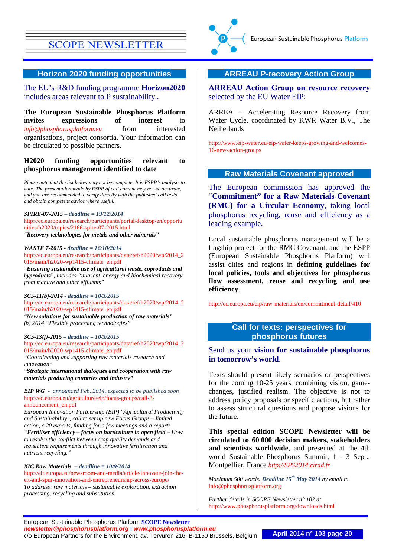

#### **Horizon 2020 funding opportunities**

The EU's R&D funding programme **Horizon2020** includes areas relevant to P sustainability..

**The European Sustainable Phosphorus Platform invites** expressions of interest to *[info@phosphorusplatform.eu](mailto:info@phosphorusplatform.eu)* from interested organisations, project consortia. Your information can be circulated to possible partners.

#### **H2020 funding opportunities relevant to phosphorus management identified to date**

*Please note that the list below may not be complete. It is ESPP's analysis to date. The presentation made by ESPP of call content may not be accurate, and you are recommended to verify directly with the published call texts and obtain competent advice where useful.*

#### *SPIRE-07-2015 – deadline = 19/12/2014*

[http://ec.europa.eu/research/participants/portal/desktop/en/opportu](http://ec.europa.eu/research/participants/portal/desktop/en/opportunities/h2020/topics/2166-spire-07-2015.html) [nities/h2020/topics/2166-spire-07-2015.html](http://ec.europa.eu/research/participants/portal/desktop/en/opportunities/h2020/topics/2166-spire-07-2015.html) *"Recovery technologies for metals and other minerals"*

#### *WASTE 7-2015 - deadline = 16/10/2014*

[http://ec.europa.eu/research/participants/data/ref/h2020/wp/2014\\_2](http://ec.europa.eu/research/participants/data/ref/h2020/wp/2014_2015/main/h2020-wp1415-climate_en.pdf) [015/main/h2020-wp1415-climate\\_en.pdf](http://ec.europa.eu/research/participants/data/ref/h2020/wp/2014_2015/main/h2020-wp1415-climate_en.pdf)

*"Ensuring sustainable use of agricultural waste, coproducts and byproducts", includes "nutrient, energy and biochemical recovery from manure and other effluents"*

*SC5-11(b)-2014 - deadline = 10/3/2015* [http://ec.europa.eu/research/participants/data/ref/h2020/wp/2014\\_2](http://ec.europa.eu/research/participants/data/ref/h2020/wp/2014_2015/main/h2020-wp1415-climate_en.pdf) [015/main/h2020-wp1415-climate\\_en.pdf](http://ec.europa.eu/research/participants/data/ref/h2020/wp/2014_2015/main/h2020-wp1415-climate_en.pdf) *"New solutions for sustainable production of raw materials" (b) 2014 "Flexible processing technologies"*

#### *SC5-13(f)-2015 – deadline = 10/3/2015* [http://ec.europa.eu/research/participants/data/ref/h2020/wp/2014\\_2](http://ec.europa.eu/research/participants/data/ref/h2020/wp/2014_2015/main/h2020-wp1415-climate_en.pdf) [015/main/h2020-wp1415-climate\\_en.pdf](http://ec.europa.eu/research/participants/data/ref/h2020/wp/2014_2015/main/h2020-wp1415-climate_en.pdf)

*"Coordinating and supporting raw materials research and innovation"*

*"Strategic international dialogues and cooperation with raw materials producing countries and industry"*

#### *EIP WG - announced Feb. 2014, expected to be published soon* [http://ec.europa.eu/agriculture/eip/focus-groups/call-3](http://ec.europa.eu/agriculture/eip/focus-groups/call-3-announcement_en.pdf) [announcement\\_en.pdf](http://ec.europa.eu/agriculture/eip/focus-groups/call-3-announcement_en.pdf)

*European Innovation Partnership (EIP) "Agricultural Productivity and Sustainability", call to set up new Focus Groups – limited action, c 20 experts, funding for a few meetings and a report: "Fertiliser efficiency – focus on horticulture in open field – How to resolve the conflict between crop quality demands and legislative requirements through innovative fertilisation and nutrient recycling."*

#### *KIC Raw Materials – deadline = 10/9/2014*

[http://eit.europa.eu/newsroom-and-media/article/innovate-join-the](http://eit.europa.eu/newsroom-and-media/article/innovate-join-the-eit-and-spur-innovation-and-entrepreneurship-across-europe/)[eit-and-spur-innovation-and-entrepreneurship-across-europe/](http://eit.europa.eu/newsroom-and-media/article/innovate-join-the-eit-and-spur-innovation-and-entrepreneurship-across-europe/) *To address: raw materials – sustainable exploration, extraction processing, recycling and substitution.*

#### **ARREAU P-recovery Action Group**

**ARREAU Action Group on resource recovery** selected by the EU Water EIP:

ARREA = Accelerating Resource Recovery from Water Cycle, coordinated by KWR Water B.V., The Netherlands

[http://www.eip-water.eu/eip-water-keeps-growing-and-welcomes-](http://www.eip-water.eu/eip-water-keeps-growing-and-welcomes-16-new-action-groups)[16-new-action-groups](http://www.eip-water.eu/eip-water-keeps-growing-and-welcomes-16-new-action-groups)

#### **Raw Materials Covenant approved**

The European commission has approved the "**Commitment" for a Raw Materials Covenant (RMC) for a Circular Economy**, taking local phosphorus recycling, reuse and efficiency as a leading example.

Local sustainable phosphorus management will be a flagship project for the RMC Covenant, and the ESPP (European Sustainable Phosphorus Platform) will assist cities and regions in **defining guidelines for local policies, tools and objectives for phosphorus flow assessment, reuse and recycling and use efficiency**.

<http://ec.europa.eu/eip/raw-materials/en/commitment-detail/410>

### **Call for texts: perspectives for phosphorus futures**

### Send us your **vision for sustainable phosphorus in tomorrow's world**.

Texts should present likely scenarios or perspectives for the coming 10-25 years, combining vision, gamechanges, justified realism. The objective is not to address policy proposals or specific actions, but rather to assess structural questions and propose visions for the future.

**This special edition SCOPE Newsletter will be circulated to 60 000 decision makers, stakeholders and scientists worldwide**, and presented at the 4th world Sustainable Phosphorus Summit, 1 - 3 Sept., Montpellier, France *[http://SPS2014.cirad.fr](http://sps2014.cirad.fr/)*

*Maximum 500 words. Deadline 15th May 2014 by email to*  [info@phosphorusplatform.org](mailto:info@phosphorusplatform.org)

*Further details in SCOPE Newsletter n° 102 at*  <http://www.phosphorusplatform.org/downloads.html>